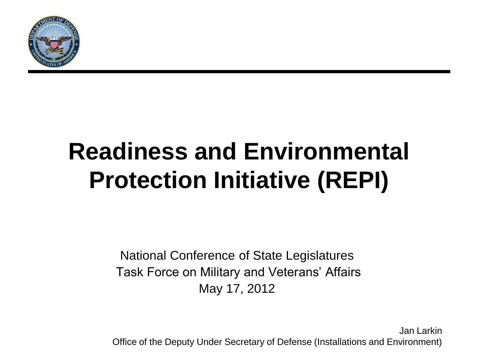

## **Readiness and Environmental Protection Initiative (REPI)**

National Conference of State Legislatures Task Force on Military and Veterans' Affairs May 17, 2012

Jan Larkin Office of the Deputy Under Secretary of Defense (Installations and Environment)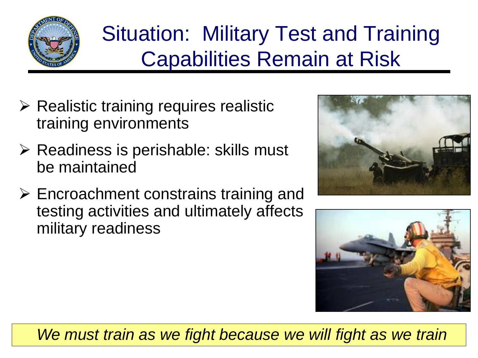

## Situation: Military Test and Training Capabilities Remain at Risk

- $\triangleright$  Realistic training requires realistic training environments
- $\triangleright$  Readiness is perishable: skills must be maintained
- $\triangleright$  Encroachment constrains training and testing activities and ultimately affects military readiness





We must train as we fight because we will fight as we train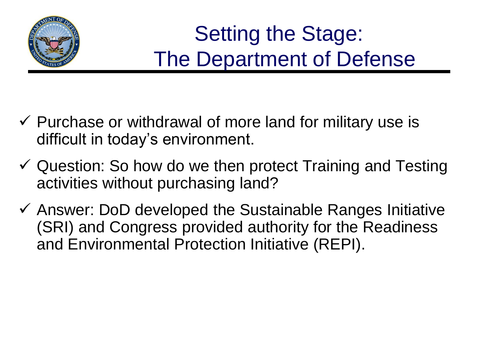

## Setting the Stage: The Department of Defense

- $\checkmark$  Purchase or withdrawal of more land for military use is difficult in today's environment.
- $\checkmark$  Question: So how do we then protect Training and Testing activities without purchasing land?
- $\checkmark$  Answer: DoD developed the Sustainable Ranges Initiative (SRI) and Congress provided authority for the Readiness and Environmental Protection Initiative (REPI).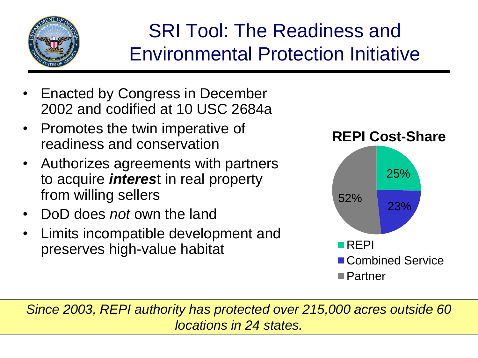

#### SRI Tool: The Readiness and Environmental Protection Initiative

- Enacted by Congress in December 2002 and codified at 10 USC 2684a
- Promotes the twin imperative of readiness and conservation
- Authorizes agreements with partners to acquire *interes*t in real property from willing sellers
- DoD does *not* own the land
- Limits incompatible development and preserves high-value habitat



*Since 2003, REPI authority has protected over 215,000 acres outside 60 locations in 24 states.*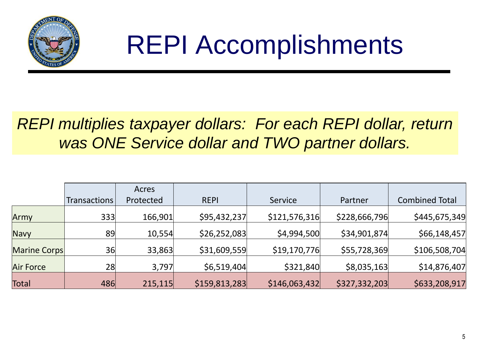

# REPI Accomplishments

#### *REPI multiplies taxpayer dollars: For each REPI dollar, return was ONE Service dollar and TWO partner dollars.*

|                  |              | Acres     |               |               |               |                       |
|------------------|--------------|-----------|---------------|---------------|---------------|-----------------------|
|                  | Transactions | Protected | <b>REPI</b>   | Service       | Partner       | <b>Combined Total</b> |
| Army             | 333          | 166,901   | \$95,432,237  | \$121,576,316 | \$228,666,796 | \$445,675,349         |
| <b>Navy</b>      | 89           | 10,554    | \$26,252,083  | \$4,994,500   | \$34,901,874  | \$66,148,457          |
| Marine Corps     | 36           | 33,863    | \$31,609,559  | \$19,170,776  | \$55,728,369  | \$106,508,704         |
| <b>Air Force</b> | 28           | 3,797     | \$6,519,404   | \$321,840     | \$8,035,163   | \$14,876,407          |
| Total            | 486          | 215,115   | \$159,813,283 | \$146,063,432 | \$327,332,203 | \$633,208,917         |